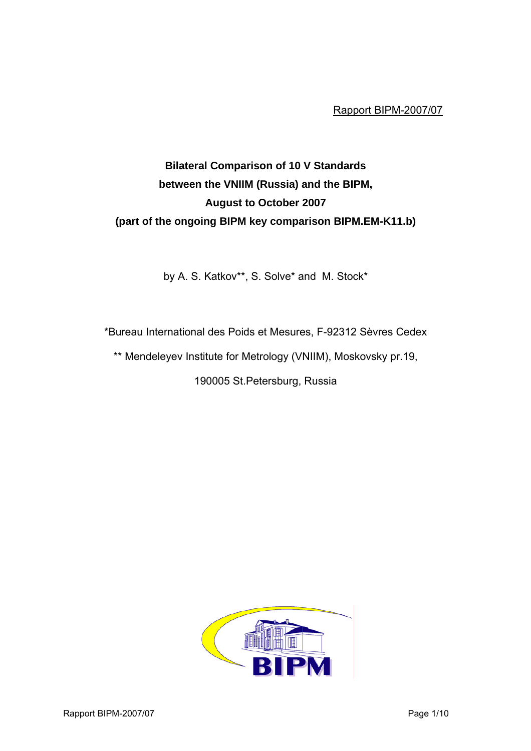Rapport BIPM-2007/07

# **Bilateral Comparison of 10 V Standards between the VNIIM (Russia) and the BIPM, August to October 2007 (part of the ongoing BIPM key comparison BIPM.EM-K11.b)**

by A. S. Katkov\*\*, S. Solve\* and M. Stock\*

\*Bureau International des Poids et Mesures, F-92312 Sèvres Cedex

\*\* Mendeleyev Institute for Metrology (VNIIM), Moskovsky pr.19,

190005 St.Petersburg, Russia

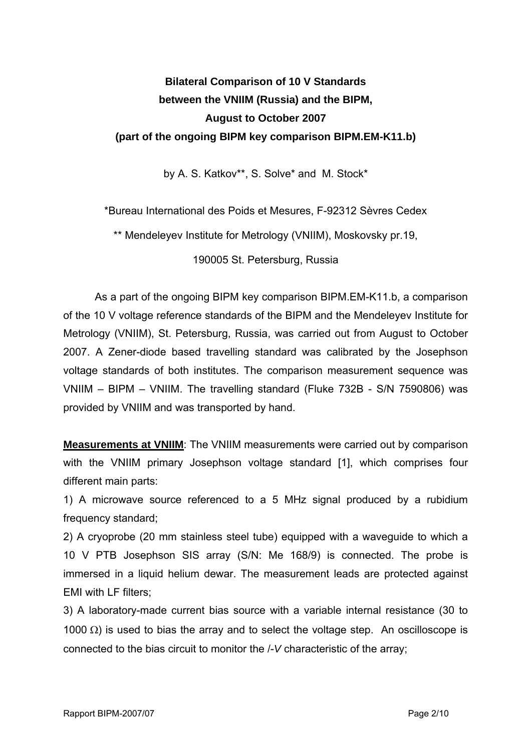## **Bilateral Comparison of 10 V Standards between the VNIIM (Russia) and the BIPM, August to October 2007 (part of the ongoing BIPM key comparison BIPM.EM-K11.b)**

by A. S. Katkov\*\*, S. Solve\* and M. Stock\*

\*Bureau International des Poids et Mesures, F-92312 Sèvres Cedex

\*\* Mendeleyev Institute for Metrology (VNIIM), Moskovsky pr.19,

190005 St. Petersburg, Russia

As a part of the ongoing BIPM key comparison BIPM.EM-K11.b, a comparison of the 10 V voltage reference standards of the BIPM and the Mendeleyev Institute for Metrology (VNIIM), St. Petersburg, Russia, was carried out from August to October 2007. A Zener-diode based travelling standard was calibrated by the Josephson voltage standards of both institutes. The comparison measurement sequence was VNIIM – BIPM – VNIIM. The travelling standard (Fluke 732B - S/N 7590806) was provided by VNIIM and was transported by hand.

**Measurements at VNIIM**: The VNIIM measurements were carried out by comparison with the VNIIM primary Josephson voltage standard [1], which comprises four different main parts:

1) A microwave source referenced to a 5 MHz signal produced by a rubidium frequency standard;

2) A cryoprobe (20 mm stainless steel tube) equipped with a waveguide to which a 10 V PTB Josephson SIS array (S/N: Me 168/9) is connected. The probe is immersed in a liquid helium dewar. The measurement leads are protected against EMI with LF filters;

3) A laboratory-made current bias source with a variable internal resistance (30 to 1000  $\Omega$ ) is used to bias the array and to select the voltage step. An oscilloscope is connected to the bias circuit to monitor the /-*V* characteristic of the array;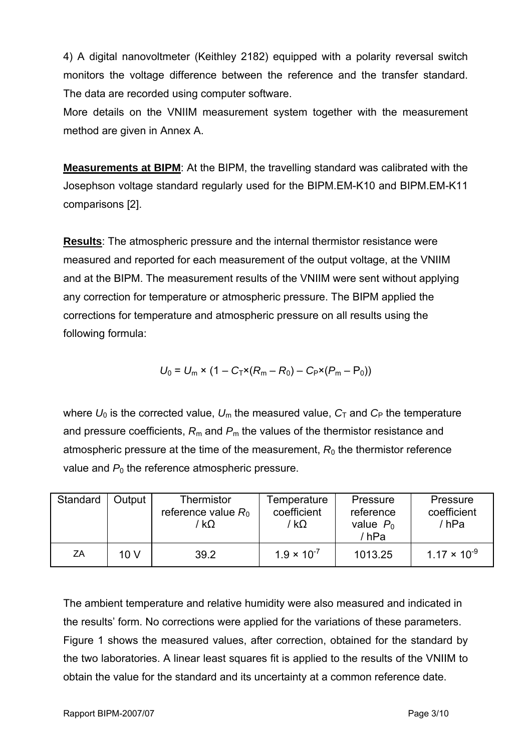4) A digital nanovoltmeter (Keithley 2182) equipped with a polarity reversal switch monitors the voltage difference between the reference and the transfer standard. The data are recorded using computer software.

More details on the VNIIM measurement system together with the measurement method are given in Annex A.

**Measurements at BIPM**: At the BIPM, the travelling standard was calibrated with the Josephson voltage standard regularly used for the BIPM.EM-K10 and BIPM.EM-K11 comparisons [2].

**Results**: The atmospheric pressure and the internal thermistor resistance were measured and reported for each measurement of the output voltage, at the VNIIM and at the BIPM. The measurement results of the VNIIM were sent without applying any correction for temperature or atmospheric pressure. The BIPM applied the corrections for temperature and atmospheric pressure on all results using the following formula:

$$
U_0 = U_m \times (1 - C_T \times (R_m - R_0) - C_P \times (P_m - P_0))
$$

where  $U_0$  is the corrected value,  $U_m$  the measured value,  $C_T$  and  $C_P$  the temperature and pressure coefficients,  $R_m$  and  $P_m$  the values of the thermistor resistance and atmospheric pressure at the time of the measurement,  $R_0$  the thermistor reference value and  $P_0$  the reference atmospheric pressure.

| Standard | Output | Thermistor<br>reference value $R_0$<br>$k\Omega$ | Temperature<br>coefficient<br>′ kΩ | Pressure<br>reference<br>value $P_0$<br>/ hPa | Pressure<br>coefficient<br>/hPa |
|----------|--------|--------------------------------------------------|------------------------------------|-----------------------------------------------|---------------------------------|
| ZΑ       | 10 V   | 39.2                                             | $1.9 \times 10^{-7}$               | 1013.25                                       | $1.17 \times 10^{-9}$           |

The ambient temperature and relative humidity were also measured and indicated in the results' form. No corrections were applied for the variations of these parameters. Figure 1 shows the measured values, after correction, obtained for the standard by the two laboratories. A linear least squares fit is applied to the results of the VNIIM to obtain the value for the standard and its uncertainty at a common reference date.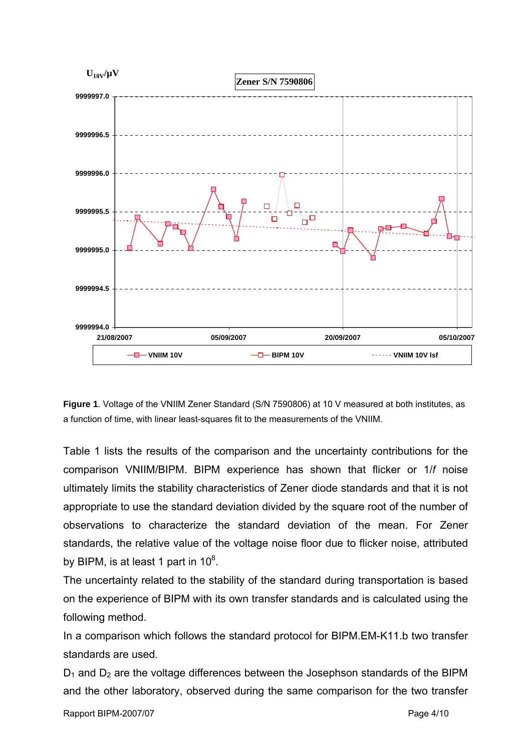

**Figure 1**. Voltage of the VNIIM Zener Standard (S/N 7590806) at 10 V measured at both institutes, as a function of time, with linear least-squares fit to the measurements of the VNIIM.

Table 1 lists the results of the comparison and the uncertainty contributions for the comparison VNIIM/BIPM. BIPM experience has shown that flicker or 1/*f* noise ultimately limits the stability characteristics of Zener diode standards and that it is not appropriate to use the standard deviation divided by the square root of the number of observations to characterize the standard deviation of the mean. For Zener standards, the relative value of the voltage noise floor due to flicker noise, attributed by BIPM, is at least 1 part in 10 $8$ .

The uncertainty related to the stability of the standard during transportation is based on the experience of BIPM with its own transfer standards and is calculated using the following method.

In a comparison which follows the standard protocol for BIPM.EM-K11.b two transfer standards are used.

 $D_1$  and  $D_2$  are the voltage differences between the Josephson standards of the BIPM and the other laboratory, observed during the same comparison for the two transfer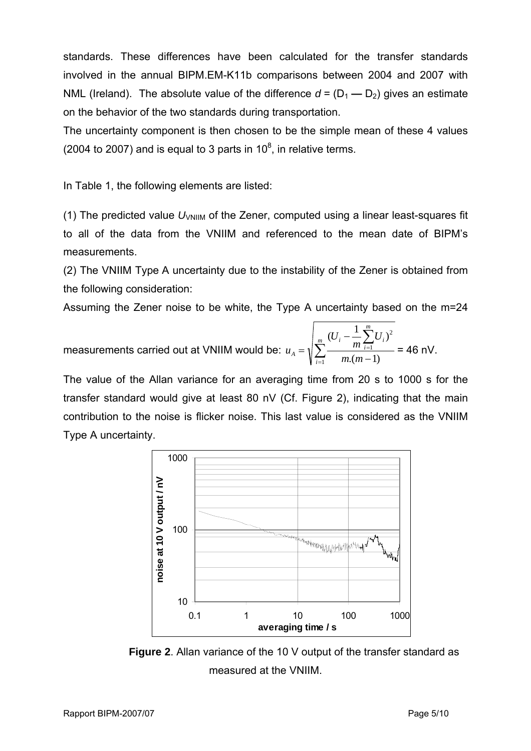standards. These differences have been calculated for the transfer standards involved in the annual BIPM.EM-K11b comparisons between 2004 and 2007 with NML (Ireland). The absolute value of the difference  $d = (D_1 - D_2)$  gives an estimate on the behavior of the two standards during transportation.

The uncertainty component is then chosen to be the simple mean of these 4 values (2004 to 2007) and is equal to 3 parts in 10 $^8$ , in relative terms.

In Table 1, the following elements are listed:

(1) The predicted value  $U_{\text{VNIIM}}$  of the Zener, computed using a linear least-squares fit to all of the data from the VNIIM and referenced to the mean date of BIPM's measurements.

(2) The VNIIM Type A uncertainty due to the instability of the Zener is obtained from the following consideration:

Assuming the Zener noise to be white, the Type A uncertainty based on the m=24

measurements carried out at VNIIM would be:  $u_{\scriptscriptstyle A}$  =  $\sqrt{\sum}$ ∑ = = − −  $=$   $\sqrt{\sum_{m=1}^{m}}$ *i m i i*  $\frac{1}{i}$  *i* ∠  $\frac{1}{i}$  $A = \sqrt{\sum_{i=1}^{n} m(n)}$ *U m U u* 1 1 2  $(n-1)$  $(U_i - \frac{1}{2} \sum_{i=1}^{m} U_i)$ = 46 nV.

The value of the Allan variance for an averaging time from 20 s to 1000 s for the transfer standard would give at least 80 nV (Cf. Figure 2), indicating that the main contribution to the noise is flicker noise. This last value is considered as the VNIIM Type A uncertainty.



**Figure 2**. Allan variance of the 10 V output of the transfer standard as measured at the VNIIM.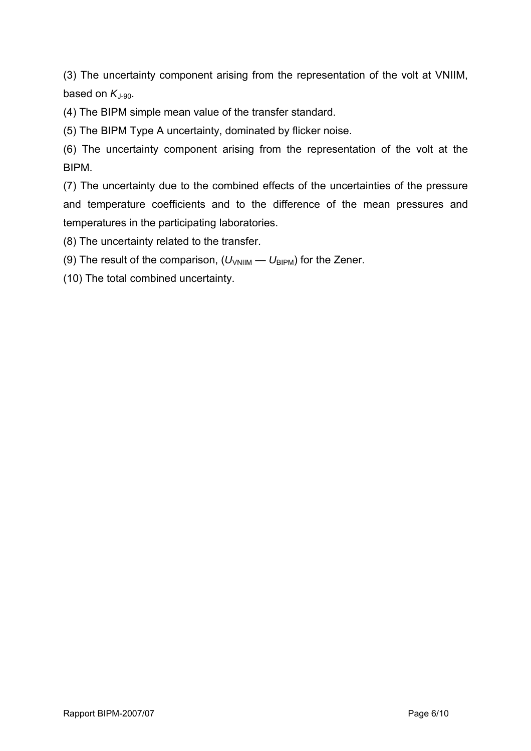(3) The uncertainty component arising from the representation of the volt at VNIIM, based on  $K_{1-90}$ .

(4) The BIPM simple mean value of the transfer standard.

(5) The BIPM Type A uncertainty, dominated by flicker noise.

(6) The uncertainty component arising from the representation of the volt at the BIPM.

(7) The uncertainty due to the combined effects of the uncertainties of the pressure and temperature coefficients and to the difference of the mean pressures and temperatures in the participating laboratories.

(8) The uncertainty related to the transfer.

(9) The result of the comparison,  $(U_{VNIIM} - U_{BIPM})$  for the Zener.

(10) The total combined uncertainty.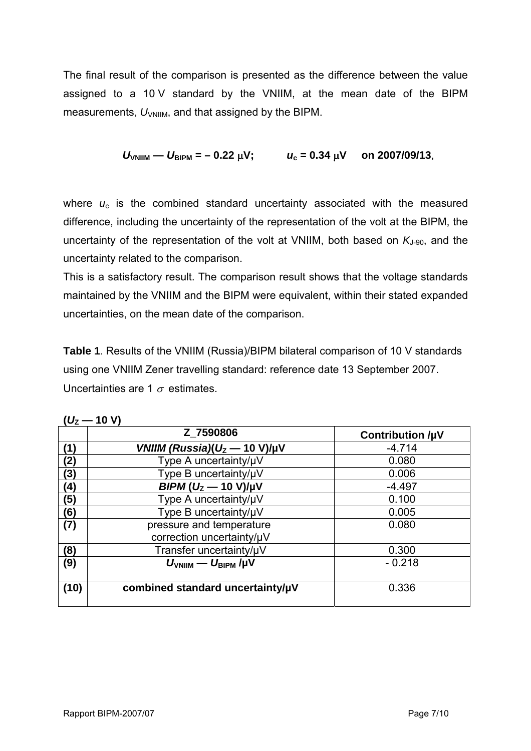The final result of the comparison is presented as the difference between the value assigned to a 10 V standard by the VNIIM, at the mean date of the BIPM measurements,  $U_{\text{VNIIM}}$ , and that assigned by the BIPM.

$$
U_{\text{VNIIM}} - U_{\text{BIPM}} = -0.22 \mu V;
$$
  $u_c = 0.34 \mu V$  on 2007/09/13,

where  $u_c$  is the combined standard uncertainty associated with the measured difference, including the uncertainty of the representation of the volt at the BIPM, the uncertainty of the representation of the volt at VNIIM, both based on  $K_{J-90}$ , and the uncertainty related to the comparison.

This is a satisfactory result. The comparison result shows that the voltage standards maintained by the VNIIM and the BIPM were equivalent, within their stated expanded uncertainties, on the mean date of the comparison.

**Table 1**. Results of the VNIIM (Russia)/BIPM bilateral comparison of 10 V standards using one VNIIM Zener travelling standard: reference date 13 September 2007. Uncertainties are 1  $\sigma$  estimates.

|      | Z 7590806                                             | <b>Contribution /µV</b> |
|------|-------------------------------------------------------|-------------------------|
| (1)  | VNIIM (Russia)( $U_z$ – 10 V)/µV                      | $-4.714$                |
| (2)  | Type A uncertainty/µV                                 | 0.080                   |
| (3)  | Type B uncertainty/µV                                 | 0.006                   |
| (4)  | $BIPM (U_2 - 10 V)/\mu V$                             | $-4.497$                |
| (5)  | Type A uncertainty/µV                                 | 0.100                   |
| (6)  | Type B uncertainty/µV                                 | 0.005                   |
| (7)  | pressure and temperature<br>correction uncertainty/µV | 0.080                   |
| (8)  | Transfer uncertainty/µV                               | 0.300                   |
| (9)  | $U_{\text{VNIIM}} - U_{\text{BIPM}}/ \mu V$           | $-0.218$                |
| (10) | combined standard uncertainty/µV                      | 0.336                   |

 $(11 - 10)$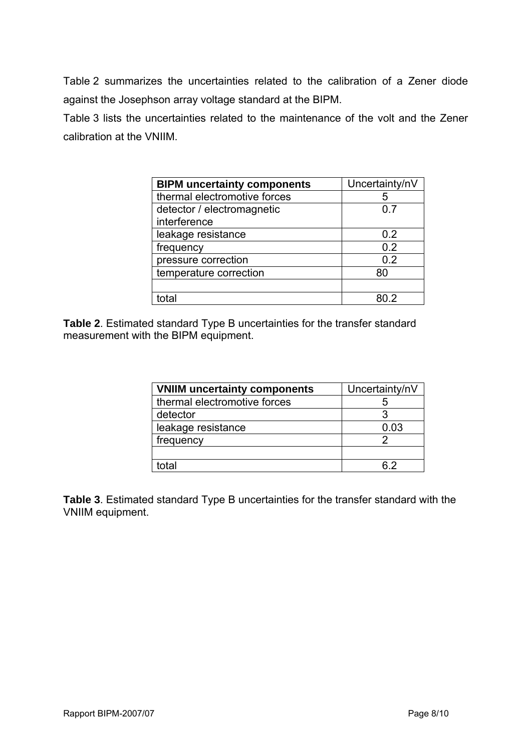Table 2 summarizes the uncertainties related to the calibration of a Zener diode against the Josephson array voltage standard at the BIPM.

Table 3 lists the uncertainties related to the maintenance of the volt and the Zener calibration at the VNIIM.

| <b>BIPM uncertainty components</b> | Uncertainty/nV |
|------------------------------------|----------------|
| thermal electromotive forces       | 5              |
| detector / electromagnetic         | 0.7            |
| interference                       |                |
| leakage resistance                 | 0.2            |
| frequency                          | 0.2            |
| pressure correction                | 0.2            |
| temperature correction             | 80             |
|                                    |                |
|                                    |                |

**Table 2**. Estimated standard Type B uncertainties for the transfer standard measurement with the BIPM equipment.

| <b>VNIIM uncertainty components</b> | Uncertainty/nV |
|-------------------------------------|----------------|
| thermal electromotive forces        |                |
| detector                            |                |
| leakage resistance                  | 0.03           |
| frequency                           |                |
|                                     |                |
| total                               | հ 2            |

**Table 3**. Estimated standard Type B uncertainties for the transfer standard with the VNIIM equipment.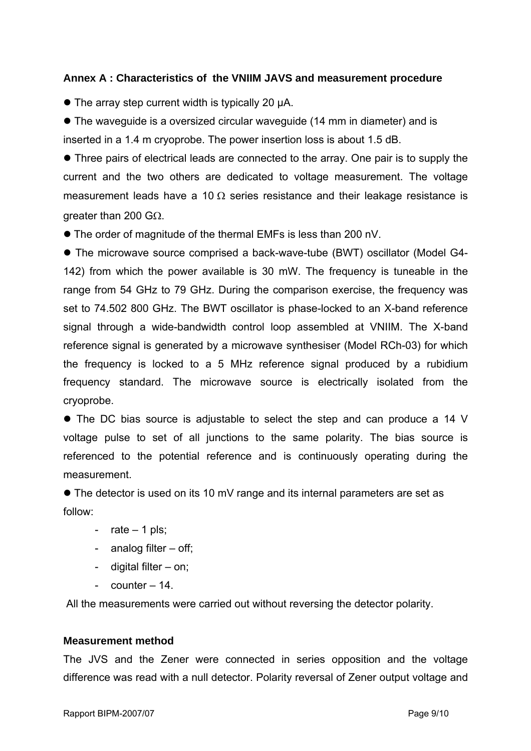### **Annex A : Characteristics of the VNIIM JAVS and measurement procedure**

• The array step current width is typically 20 uA.

• The waveguide is a oversized circular waveguide (14 mm in diameter) and is inserted in a 1.4 m cryoprobe. The power insertion loss is about 1.5 dB.

• Three pairs of electrical leads are connected to the array. One pair is to supply the current and the two others are dedicated to voltage measurement. The voltage measurement leads have a 10  $\Omega$  series resistance and their leakage resistance is greater than 200 GΩ.

• The order of magnitude of the thermal EMFs is less than 200 nV.

• The microwave source comprised a back-wave-tube (BWT) oscillator (Model G4-142) from which the power available is 30 mW. The frequency is tuneable in the range from 54 GHz to 79 GHz. During the comparison exercise, the frequency was set to 74.502 800 GHz. The BWT oscillator is phase-locked to an X-band reference signal through a wide-bandwidth control loop assembled at VNIIM. The X-band reference signal is generated by a microwave synthesiser (Model RCh-03) for which the frequency is locked to a 5 MHz reference signal produced by a rubidium frequency standard. The microwave source is electrically isolated from the cryoprobe.

• The DC bias source is adjustable to select the step and can produce a 14 V voltage pulse to set of all junctions to the same polarity. The bias source is referenced to the potential reference and is continuously operating during the measurement.

 $\bullet$  The detector is used on its 10 mV range and its internal parameters are set as follow:

- $rate 1$  pls;
- analog filter off;
- digital filter on;
- counter 14.

All the measurements were carried out without reversing the detector polarity.

#### **Measurement method**

The JVS and the Zener were connected in series opposition and the voltage difference was read with a null detector. Polarity reversal of Zener output voltage and